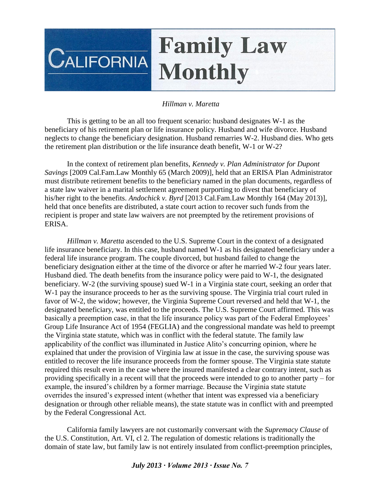## **Family Law CALIFORNIA Monthly**

## *Hillman v. Maretta*

This is getting to be an all too frequent scenario: husband designates W-1 as the beneficiary of his retirement plan or life insurance policy. Husband and wife divorce. Husband neglects to change the beneficiary designation. Husband remarries W-2. Husband dies. Who gets the retirement plan distribution or the life insurance death benefit, W-1 or W-2?

In the context of retirement plan benefits, *Kennedy v. Plan Administrator for Dupont Savings* [2009 Cal.Fam.Law Monthly 65 (March 2009)], held that an ERISA Plan Administrator must distribute retirement benefits to the beneficiary named in the plan documents, regardless of a state law waiver in a marital settlement agreement purporting to divest that beneficiary of his/her right to the benefits. *Andochick v. Byrd* [2013 Cal.Fam.Law Monthly 164 (May 2013)], held that once benefits are distributed, a state court action to recover such funds from the recipient is proper and state law waivers are not preempted by the retirement provisions of ERISA.

*Hillman v. Maretta* ascended to the U.S. Supreme Court in the context of a designated life insurance beneficiary. In this case, husband named W-1 as his designated beneficiary under a federal life insurance program. The couple divorced, but husband failed to change the beneficiary designation either at the time of the divorce or after he married W-2 four years later. Husband died. The death benefits from the insurance policy were paid to W-1, the designated beneficiary. W-2 (the surviving spouse) sued W-1 in a Virginia state court, seeking an order that W-1 pay the insurance proceeds to her as the surviving spouse. The Virginia trial court ruled in favor of W-2, the widow; however, the Virginia Supreme Court reversed and held that W-1, the designated beneficiary, was entitled to the proceeds. The U.S. Supreme Court affirmed. This was basically a preemption case, in that the life insurance policy was part of the Federal Employees' Group Life Insurance Act of 1954 (FEGLIA) and the congressional mandate was held to preempt the Virginia state statute, which was in conflict with the federal statute. The family law applicability of the conflict was illuminated in Justice Alito's concurring opinion, where he explained that under the provision of Virginia law at issue in the case, the surviving spouse was entitled to recover the life insurance proceeds from the former spouse. The Virginia state statute required this result even in the case where the insured manifested a clear contrary intent, such as providing specifically in a recent will that the proceeds were intended to go to another party – for example, the insured's children by a former marriage. Because the Virginia state statute overrides the insured's expressed intent (whether that intent was expressed via a beneficiary designation or through other reliable means), the state statute was in conflict with and preempted by the Federal Congressional Act.

California family lawyers are not customarily conversant with the *Supremacy Clause* of the U.S. Constitution, Art. VI, cl 2. The regulation of domestic relations is traditionally the domain of state law, but family law is not entirely insulated from conflict-preemption principles,